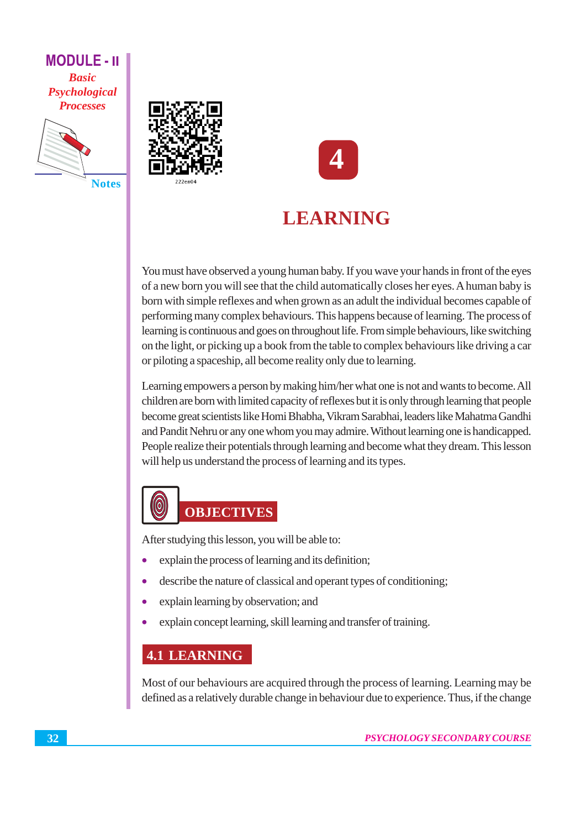

**Notes** 





# **LEARNING**

You must have observed a young human baby. If you wave your hands in front of the eyes of a new born you will see that the child automatically closes her eyes. A human baby is born with simple reflexes and when grown as an adult the individual becomes capable of performing many complex behaviours. This happens because of learning. The process of learning is continuous and goes on throughout life. From simple behaviours, like switching on the light, or picking up a book from the table to complex behaviours like driving a car or piloting a spaceship, all become reality only due to learning.

Learning empowers a person by making him/her what one is not and wants to become. All children are born with limited capacity of reflexes but it is only through learning that people become great scientists like Homi Bhabha, Vikram Sarabhai, leaders like Mahatma Gandhi and Pandit Nehru or any one whom you may admire. Without learning one is handicapped. People realize their potentials through learning and become what they dream. This lesson will help us understand the process of learning and its types.

# $\bigcirc$ **OBJECTIVES**

After studying this lesson, you will be able to:

- explain the process of learning and its definition;  $\bullet$
- describe the nature of classical and operant types of conditioning;  $\bullet$
- explain learning by observation; and ò
- explain concept learning, skill learning and transfer of training.

# **4.1 LEARNING**

Most of our behaviours are acquired through the process of learning. Learning may be defined as a relatively durable change in behaviour due to experience. Thus, if the change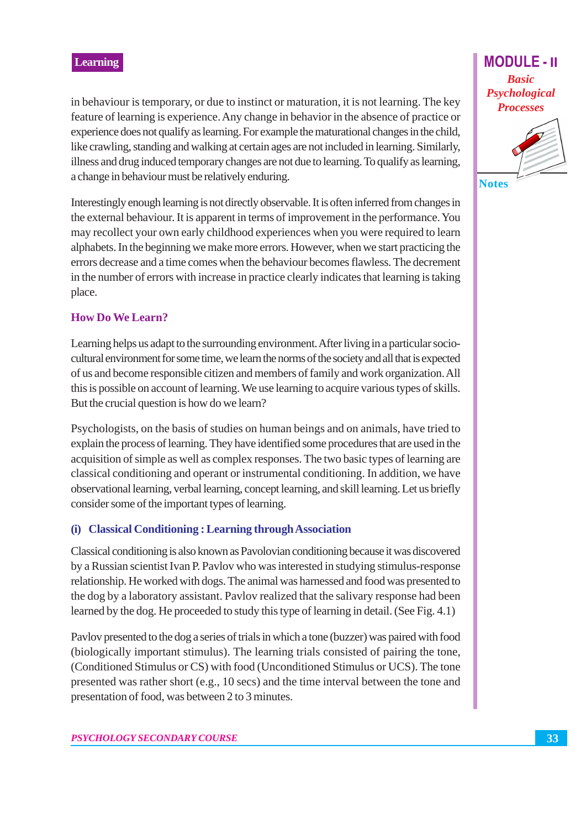in behaviour is temporary, or due to instinct or maturation, it is not learning. The key feature of learning is experience. Any change in behavior in the absence of practice or experience does not qualify as learning. For example the maturational changes in the child, like crawling, standing and walking at certain ages are not included in learning. Similarly, illness and drug induced temporary changes are not due to learning. To qualify as learning, a change in behaviour must be relatively enduring.

Interestingly enough learning is not directly observable. It is often inferred from changes in the external behaviour. It is apparent in terms of improvement in the performance. You may recollect your own early childhood experiences when you were required to learn alphabets. In the beginning we make more errors. However, when we start practicing the errors decrease and a time comes when the behaviour becomes flawless. The decrement in the number of errors with increase in practice clearly indicates that learning is taking place.

#### **How Do We Learn?**

Learning helps us adapt to the surrounding environment. After living in a particular sociocultural environment for some time, we learn the norms of the society and all that is expected of us and become responsible citizen and members of family and work organization. All this is possible on account of learning. We use learning to acquire various types of skills. But the crucial question is how do we learn?

Psychologists, on the basis of studies on human beings and on animals, have tried to explain the process of learning. They have identified some procedures that are used in the acquisition of simple as well as complex responses. The two basic types of learning are classical conditioning and operant or instrumental conditioning. In addition, we have observational learning, verbal learning, concept learning, and skill learning. Let us briefly consider some of the important types of learning.

#### (i) Classical Conditioning: Learning through Association

Classical conditioning is also known as Pavolovian conditioning because it was discovered by a Russian scientist Ivan P. Paylov who was interested in studying stimulus-response relationship. He worked with dogs. The animal was harnessed and food was presented to the dog by a laboratory assistant. Paylov realized that the salivary response had been learned by the dog. He proceeded to study this type of learning in detail. (See Fig. 4.1)

Paylov presented to the dog a series of trials in which a tone (buzzer) was paired with food (biologically important stimulus). The learning trials consisted of pairing the tone, (Conditioned Stimulus or CS) with food (Unconditioned Stimulus or UCS). The tone presented was rather short (e.g., 10 secs) and the time interval between the tone and presentation of food, was between 2 to 3 minutes.

**MODULE - II Basic** Psychological **Processes** 



33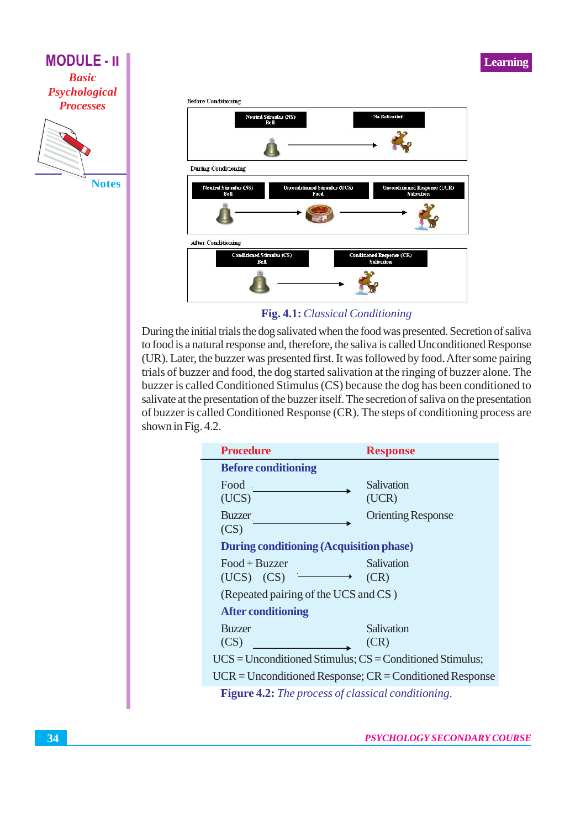



Fig. 4.1: Classical Conditioning

During the initial trials the dog salivated when the food was presented. Secretion of saliva to food is a natural response and, therefore, the saliva is called Unconditioned Response (UR). Later, the buzzer was presented first. It was followed by food. After some pairing trials of buzzer and food, the dog started salivation at the ringing of buzzer alone. The buzzer is called Conditioned Stimulus (CS) because the dog has been conditioned to salivate at the presentation of the buzzer itself. The secretion of saliva on the presentation of buzzer is called Conditioned Response (CR). The steps of conditioning process are shown in Fig. 4.2.

| <b>Procedure</b>                                           | <b>Response</b>           |
|------------------------------------------------------------|---------------------------|
| <b>Before conditioning</b>                                 |                           |
| Food                                                       | Salivation                |
| (UCS)                                                      | (UCR)                     |
| <b>Buzzer</b>                                              | <b>Orienting Response</b> |
| (CS)                                                       |                           |
| <b>During conditioning (Acquisition phase)</b>             |                           |
| $Food + Buzzer$                                            | Salivation                |
| $(UCS)$ $(CS)$ $\longrightarrow$                           | (CR)                      |
| (Repeated pairing of the UCS and CS)                       |                           |
| <b>After conditioning</b>                                  |                           |
| <b>Buzzer</b>                                              | Salivation                |
| (CS)                                                       | (CR)                      |
| $UCS = Unconditioned Stimulus; CS = Conditioned Stimulus;$ |                           |
| $UCR = Unconditioned Response; CR = Conditioned Response$  |                           |
| <b>Figure 4.2:</b> The process of classical conditioning.  |                           |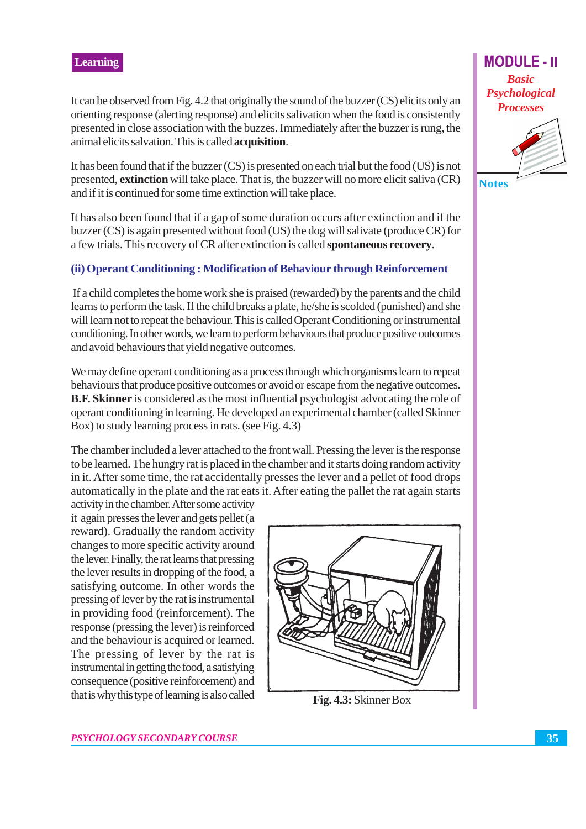It can be observed from Fig. 4.2 that originally the sound of the buzzer (CS) elicits only an orienting response (alerting response) and elicits salivation when the food is consistently presented in close association with the buzzes. Immediately after the buzzer is rung, the animal elicits salvation. This is called **acquisition**.

It has been found that if the buzzer (CS) is presented on each trial but the food (US) is not presented, extinction will take place. That is, the buzzer will no more elicit saliva (CR) and if it is continued for some time extinction will take place.

It has also been found that if a gap of some duration occurs after extinction and if the buzzer (CS) is again presented without food (US) the dog will salivate (produce CR) for a few trials. This recovery of CR after extinction is called **spontaneous recovery**.

#### (ii) Operant Conditioning: Modification of Behaviour through Reinforcement

If a child completes the home work she is praised (rewarded) by the parents and the child learns to perform the task. If the child breaks a plate, he/she is scolded (punished) and she will learn not to repeat the behaviour. This is called Operant Conditioning or instrumental conditioning. In other words, we learn to perform behaviours that produce positive outcomes and avoid behaviours that yield negative outcomes.

We may define operant conditioning as a process through which organisms learn to repeat behaviours that produce positive outcomes or avoid or escape from the negative outcomes. **B.F. Skinner** is considered as the most influential psychologist advocating the role of operant conditioning in learning. He developed an experimental chamber (called Skinner Box) to study learning process in rats. (see Fig. 4.3)

The chamber included a lever attached to the front wall. Pressing the lever is the response to be learned. The hungry rat is placed in the chamber and it starts doing random activity in it. After some time, the rat accidentally presses the lever and a pellet of food drops automatically in the plate and the rat eats it. After eating the pallet the rat again starts

activity in the chamber. After some activity it again presses the lever and gets pellet (a reward). Gradually the random activity changes to more specific activity around the lever. Finally, the rat learns that pressing the lever results in dropping of the food, a satisfying outcome. In other words the pressing of lever by the rat is instrumental in providing food (reinforcement). The response (pressing the lever) is reinforced and the behaviour is acquired or learned. The pressing of lever by the rat is instrumental in getting the food, a satisfying consequence (positive reinforcement) and that is why this type of learning is also called



Fig. 4.3: Skinner Box

**Basic** Psychological **Processes** 

**MODULE - II** 

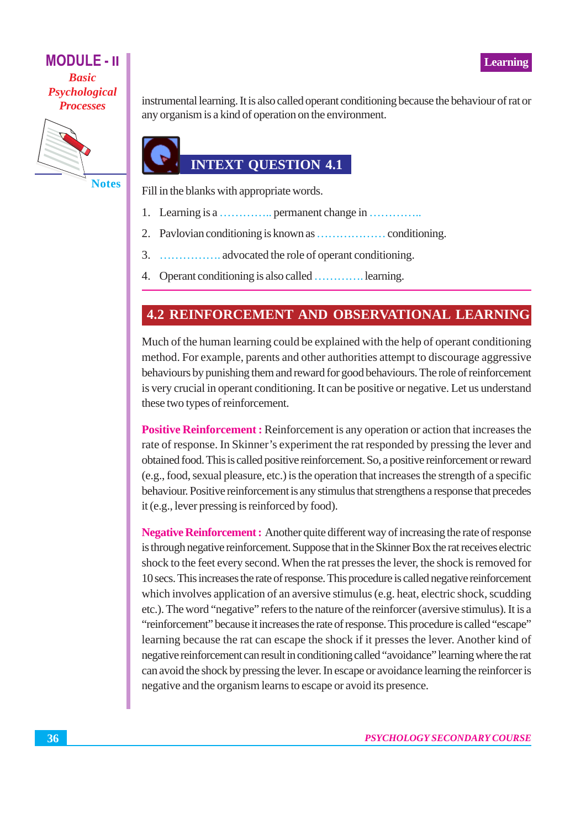

**Notes** 

instrumental learning. It is also called operant conditioning because the behaviour of rat or any organism is a kind of operation on the environment.

# **INTEXT QUESTION 4.1**

Fill in the blanks with appropriate words.

- Learning is a ................ permanent change in ............... 1.
- 2.
- 3.
- 4. Operant conditioning is also called ............. learning.

# **4.2 REINFORCEMENT AND OBSERVATIONAL LEARNING**

Much of the human learning could be explained with the help of operant conditioning method. For example, parents and other authorities attempt to discourage aggressive behaviours by punishing them and reward for good behaviours. The role of reinforcement is very crucial in operant conditioning. It can be positive or negative. Let us understand these two types of reinforcement.

**Positive Reinforcement:** Reinforcement is any operation or action that increases the rate of response. In Skinner's experiment the rat responded by pressing the lever and obtained food. This is called positive reinforcement. So, a positive reinforcement or reward (e.g., food, sexual pleasure, etc.) is the operation that increases the strength of a specific behaviour. Positive reinforcement is any stimulus that strengthens a response that precedes it (e.g., lever pressing is reinforced by food).

**Negative Reinforcement:** Another quite different way of increasing the rate of response is through negative reinforcement. Suppose that in the Skinner Box the rat receives electric shock to the feet every second. When the rat presses the lever, the shock is removed for 10 secs. This increases the rate of response. This procedure is called negative reinforcement which involves application of an aversive stimulus (e.g. heat, electric shock, scudding etc.). The word "negative" refers to the nature of the reinforcer (aversive stimulus). It is a "reinforcement" because it increases the rate of response. This procedure is called "escape" learning because the rat can escape the shock if it presses the lever. Another kind of negative reinforcement can result in conditioning called "avoidance" learning where the rat can avoid the shock by pressing the lever. In escape or avoidance learning the reinforcer is negative and the organism learns to escape or avoid its presence.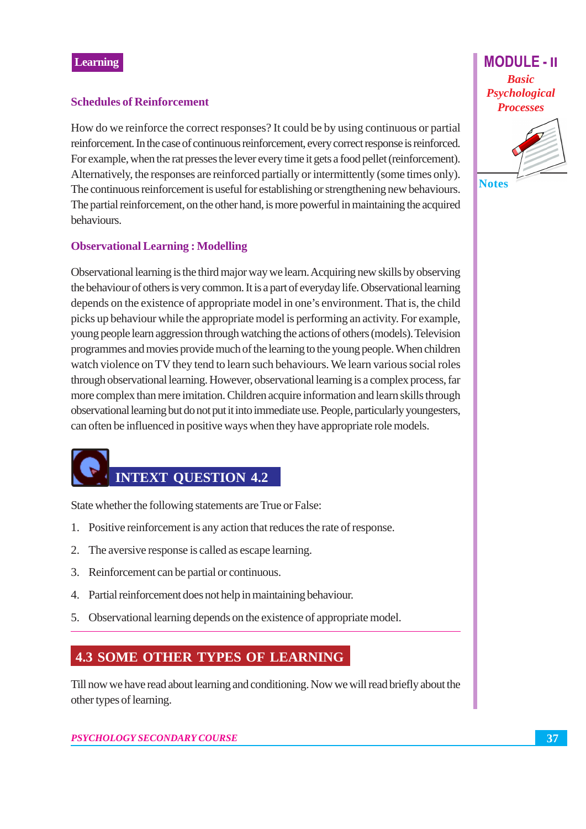#### **Schedules of Reinforcement**

How do we reinforce the correct responses? It could be by using continuous or partial reinforcement. In the case of continuous reinforcement, every correct response is reinforced. For example, when the rat presses the lever every time it gets a food pellet (reinforcement). Alternatively, the responses are reinforced partially or intermittently (some times only). The continuous reinforcement is useful for establishing or strengthening new behaviours. The partial reinforcement, on the other hand, is more powerful in maintaining the acquired behaviours.

#### **Observational Learning: Modelling**

Observational learning is the third major way we learn. Acquiring new skills by observing the behaviour of others is very common. It is a part of everyday life. Observational learning depends on the existence of appropriate model in one's environment. That is, the child picks up behaviour while the appropriate model is performing an activity. For example, young people learn aggression through watching the actions of others (models). Television programmes and movies provide much of the learning to the young people. When children watch violence on TV they tend to learn such behaviours. We learn various social roles through observational learning. However, observational learning is a complex process, far more complex than mere imitation. Children acquire information and learn skills through observational learning but do not put it into immediate use. People, particularly youngesters, can often be influenced in positive ways when they have appropriate role models.

# **INTEXT QUESTION 4.2**

State whether the following statements are True or False:

- 1. Positive reinforcement is any action that reduces the rate of response.
- 2. The aversive response is called as escape learning.
- 3. Reinforcement can be partial or continuous.
- 4. Partial reinforcement does not help in maintaining behaviour.
- 5. Observational learning depends on the existence of appropriate model.

# **4.3 SOME OTHER TYPES OF LEARNING**

Till now we have read about learning and conditioning. Now we will read briefly about the other types of learning.

#### **PSYCHOLOGY SECONDARY COURSE**

**MODULE-II Basic** Psychological **Processes** 



37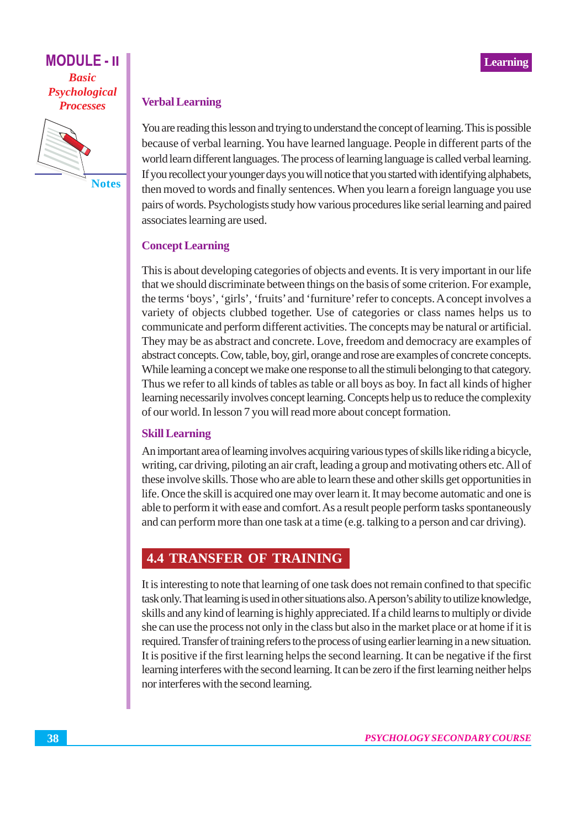

**Notes** 

#### **Verbal Learning**

You are reading this lesson and trying to understand the concept of learning. This is possible because of verbal learning. You have learned language. People in different parts of the world learn different languages. The process of learning language is called verbal learning. If you recollect your younger days you will notice that you started with identifying alphabets, then moved to words and finally sentences. When you learn a foreign language you use pairs of words. Psychologists study how various procedures like serial learning and paired associates learning are used.

## **Concept Learning**

This is about developing categories of objects and events. It is very important in our life that we should discriminate between things on the basis of some criterion. For example, the terms 'boys', 'girls', 'fruits' and 'furniture' refer to concepts. A concept involves a variety of objects clubbed together. Use of categories or class names helps us to communicate and perform different activities. The concepts may be natural or artificial. They may be as abstract and concrete. Love, freedom and democracy are examples of abstract concepts. Cow, table, boy, girl, orange and rose are examples of concrete concepts. While learning a concept we make one response to all the stimuli belonging to that category. Thus we refer to all kinds of tables as table or all boys as boy. In fact all kinds of higher learning necessarily involves concept learning. Concepts help us to reduce the complexity of our world. In lesson 7 you will read more about concept formation.

#### **Skill Learning**

An important area of learning involves acquiring various types of skills like riding a bicycle, writing, car driving, piloting an air craft, leading a group and motivating others etc. All of these involve skills. Those who are able to learn these and other skills get opportunities in life. Once the skill is acquired one may over learn it. It may become automatic and one is able to perform it with ease and comfort. As a result people perform tasks spontaneously and can perform more than one task at a time (e.g. talking to a person and car driving).

## **4.4 TRANSFER OF TRAINING**

It is interesting to note that learning of one task does not remain confined to that specific task only. That learning is used in other situations also. A person's ability to utilize knowledge, skills and any kind of learning is highly appreciated. If a child learns to multiply or divide she can use the process not only in the class but also in the market place or at home if it is required. Transfer of training refers to the process of using earlier learning in a new situation. It is positive if the first learning helps the second learning. It can be negative if the first learning interferes with the second learning. It can be zero if the first learning neither helps nor interferes with the second learning.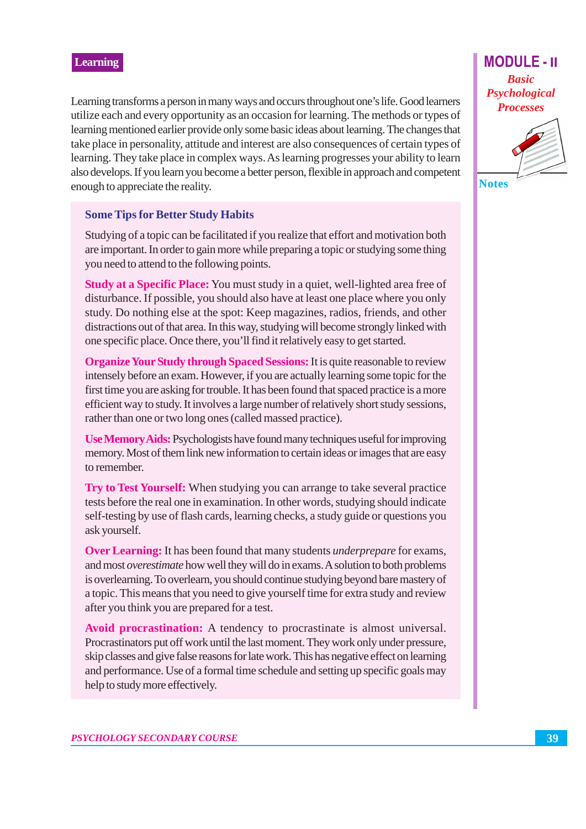Learning transforms a person in many ways and occurs throughout one's life. Good learners utilize each and every opportunity as an occasion for learning. The methods or types of learning mentioned earlier provide only some basic ideas about learning. The changes that take place in personality, attitude and interest are also consequences of certain types of learning. They take place in complex ways. As learning progresses your ability to learn also develops. If you learn you become a better person, flexible in approach and competent enough to appreciate the reality.

#### **Some Tips for Better Study Habits**

Studying of a topic can be facilitated if you realize that effort and motivation both are important. In order to gain more while preparing a topic or studying some thing you need to attend to the following points.

Study at a Specific Place: You must study in a quiet, well-lighted area free of disturbance. If possible, you should also have at least one place where you only study. Do nothing else at the spot: Keep magazines, radios, friends, and other distractions out of that area. In this way, studying will become strongly linked with one specific place. Once there, you'll find it relatively easy to get started.

**Organize Your Study through Spaced Sessions:** It is quite reasonable to review intensely before an exam. However, if you are actually learning some topic for the first time you are asking for trouble. It has been found that spaced practice is a more efficient way to study. It involves a large number of relatively short study sessions, rather than one or two long ones (called massed practice).

Use Memory Aids: Psychologists have found many techniques useful for improving memory. Most of them link new information to certain ideas or images that are easy to remember.

Try to Test Yourself: When studying you can arrange to take several practice tests before the real one in examination. In other words, studying should indicate self-testing by use of flash cards, learning checks, a study guide or questions you ask yourself.

**Over Learning:** It has been found that many students *underprepare* for exams, and most overestimate how well they will do in exams. A solution to both problems is overlearning. To overlearn, you should continue studying beyond bare mastery of a topic. This means that you need to give yourself time for extra study and review after you think you are prepared for a test.

Avoid procrastination: A tendency to procrastinate is almost universal. Procrastinators put off work until the last moment. They work only under pressure, skip classes and give false reasons for late work. This has negative effect on learning and performance. Use of a formal time schedule and setting up specific goals may help to study more effectively.

**MODULE - II Basic** Psychological **Processes** 



**Notes**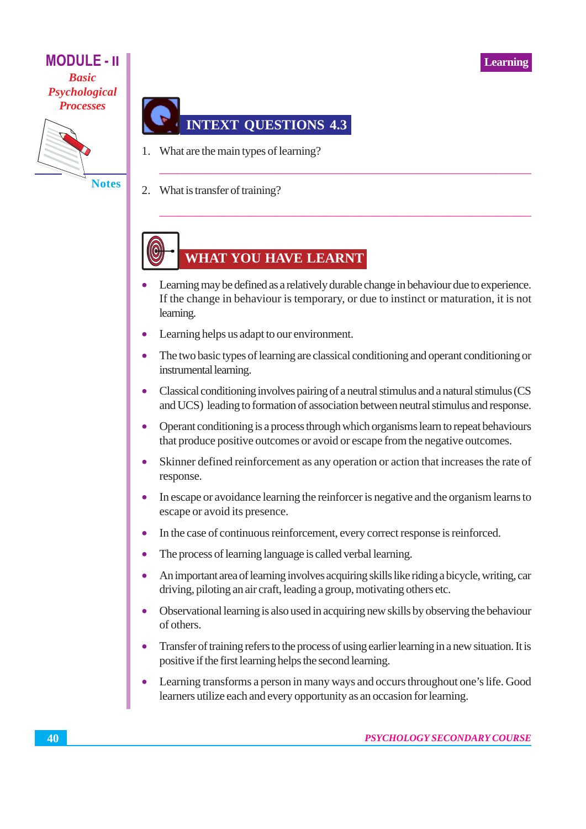

**Notes** 



- 1. What are the main types of learning?
- $2.$ What is transfer of training?

# **WHAT YOU HAVE LEARNT**

- Learning may be defined as a relatively durable change in behaviour due to experience. If the change in behaviour is temporary, or due to instinct or maturation, it is not learning.
- Learning helps us adapt to our environment.
- The two basic types of learning are classical conditioning and operant conditioning or  $\bullet$ instrumental learning.
- Classical conditioning involves pairing of a neutral stimulus and a natural stimulus (CS  $\bullet$ and UCS) leading to formation of association between neutral stimulus and response.
- Operant conditioning is a process through which organisms learn to repeat behaviours  $\bullet$ that produce positive outcomes or avoid or escape from the negative outcomes.
- Skinner defined reinforcement as any operation or action that increases the rate of  $\bullet$ response.
- In escape or avoidance learning the reinforcer is negative and the organism learns to  $\bullet$ escape or avoid its presence.
- In the case of continuous reinforcement, every correct response is reinforced.
- The process of learning language is called verbal learning.  $\bullet$
- $\bullet$ An important area of learning involves acquiring skills like riding a bicycle, writing, car driving, piloting an air craft, leading a group, motivating others etc.
- Observational learning is also used in acquiring new skills by observing the behaviour of others.
- Transfer of training refers to the process of using earlier learning in a new situation. It is  $\bullet$ positive if the first learning helps the second learning.
- $\bullet$ Learning transforms a person in many ways and occurs throughout one's life. Good learners utilize each and every opportunity as an occasion for learning.

**Learning**